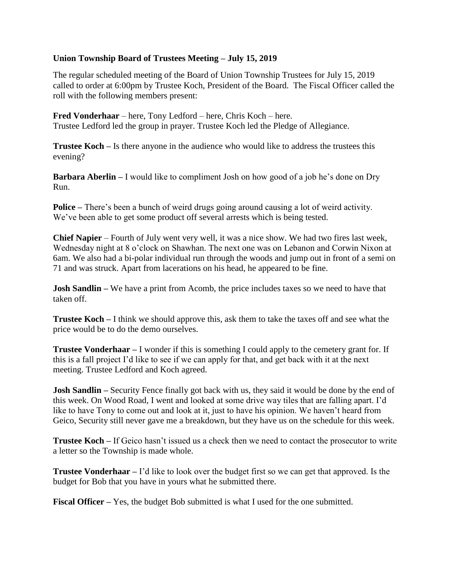## **Union Township Board of Trustees Meeting – July 15, 2019**

The regular scheduled meeting of the Board of Union Township Trustees for July 15, 2019 called to order at 6:00pm by Trustee Koch, President of the Board. The Fiscal Officer called the roll with the following members present:

**Fred Vonderhaar** – here, Tony Ledford – here, Chris Koch – here. Trustee Ledford led the group in prayer. Trustee Koch led the Pledge of Allegiance.

**Trustee Koch –** Is there anyone in the audience who would like to address the trustees this evening?

**Barbara Aberlin –** I would like to compliment Josh on how good of a job he's done on Dry Run.

**Police –** There's been a bunch of weird drugs going around causing a lot of weird activity. We've been able to get some product off several arrests which is being tested.

**Chief Napier** – Fourth of July went very well, it was a nice show. We had two fires last week, Wednesday night at 8 o'clock on Shawhan. The next one was on Lebanon and Corwin Nixon at 6am. We also had a bi-polar individual run through the woods and jump out in front of a semi on 71 and was struck. Apart from lacerations on his head, he appeared to be fine.

**Josh Sandlin –** We have a print from Acomb, the price includes taxes so we need to have that taken off.

**Trustee Koch –** I think we should approve this, ask them to take the taxes off and see what the price would be to do the demo ourselves.

**Trustee Vonderhaar –** I wonder if this is something I could apply to the cemetery grant for. If this is a fall project I'd like to see if we can apply for that, and get back with it at the next meeting. Trustee Ledford and Koch agreed.

**Josh Sandlin –** Security Fence finally got back with us, they said it would be done by the end of this week. On Wood Road, I went and looked at some drive way tiles that are falling apart. I'd like to have Tony to come out and look at it, just to have his opinion. We haven't heard from Geico, Security still never gave me a breakdown, but they have us on the schedule for this week.

**Trustee Koch –** If Geico hasn't issued us a check then we need to contact the prosecutor to write a letter so the Township is made whole.

**Trustee Vonderhaar –** I'd like to look over the budget first so we can get that approved. Is the budget for Bob that you have in yours what he submitted there.

**Fiscal Officer –** Yes, the budget Bob submitted is what I used for the one submitted.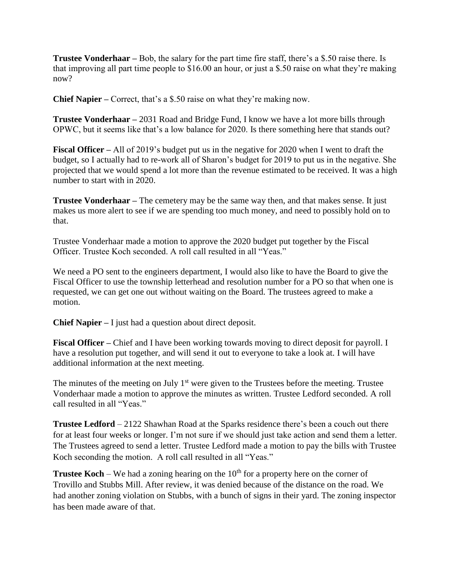**Trustee Vonderhaar –** Bob, the salary for the part time fire staff, there's a \$.50 raise there. Is that improving all part time people to \$16.00 an hour, or just a \$.50 raise on what they're making now?

**Chief Napier –** Correct, that's a \$.50 raise on what they're making now.

**Trustee Vonderhaar –** 2031 Road and Bridge Fund, I know we have a lot more bills through OPWC, but it seems like that's a low balance for 2020. Is there something here that stands out?

**Fiscal Officer –** All of 2019's budget put us in the negative for 2020 when I went to draft the budget, so I actually had to re-work all of Sharon's budget for 2019 to put us in the negative. She projected that we would spend a lot more than the revenue estimated to be received. It was a high number to start with in 2020.

**Trustee Vonderhaar –** The cemetery may be the same way then, and that makes sense. It just makes us more alert to see if we are spending too much money, and need to possibly hold on to that.

Trustee Vonderhaar made a motion to approve the 2020 budget put together by the Fiscal Officer. Trustee Koch seconded. A roll call resulted in all "Yeas."

We need a PO sent to the engineers department, I would also like to have the Board to give the Fiscal Officer to use the township letterhead and resolution number for a PO so that when one is requested, we can get one out without waiting on the Board. The trustees agreed to make a motion.

**Chief Napier –** I just had a question about direct deposit.

**Fiscal Officer –** Chief and I have been working towards moving to direct deposit for payroll. I have a resolution put together, and will send it out to everyone to take a look at. I will have additional information at the next meeting.

The minutes of the meeting on July  $1<sup>st</sup>$  were given to the Trustees before the meeting. Trustee Vonderhaar made a motion to approve the minutes as written. Trustee Ledford seconded. A roll call resulted in all "Yeas."

**Trustee Ledford** – 2122 Shawhan Road at the Sparks residence there's been a couch out there for at least four weeks or longer. I'm not sure if we should just take action and send them a letter. The Trustees agreed to send a letter. Trustee Ledford made a motion to pay the bills with Trustee Koch seconding the motion. A roll call resulted in all "Yeas."

**Trustee Koch** – We had a zoning hearing on the  $10<sup>th</sup>$  for a property here on the corner of Trovillo and Stubbs Mill. After review, it was denied because of the distance on the road. We had another zoning violation on Stubbs, with a bunch of signs in their yard. The zoning inspector has been made aware of that.